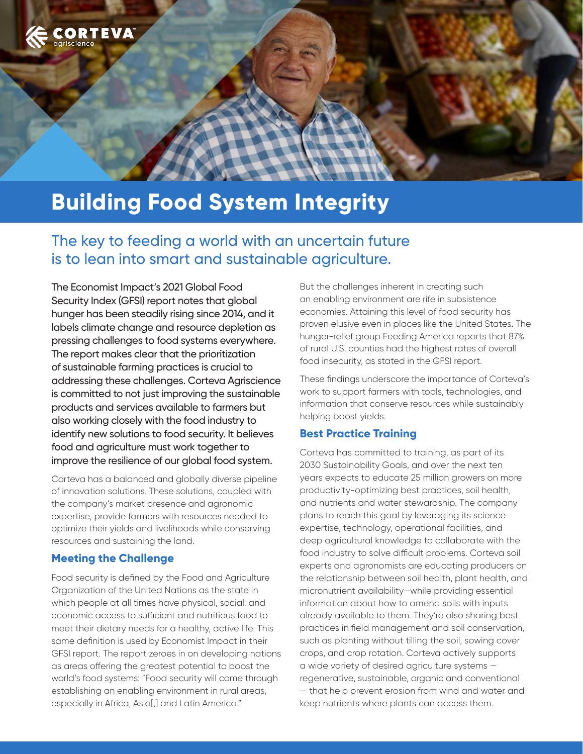

# **Building Food System Integrity**

## The key to feeding a world with an uncertain future is to lean into smart and sustainable agriculture.

The Economist Impact's 2021 Global Food Security Index (GFSI) report notes that global hunger has been steadily rising since 2014, and it labels climate change and resource depletion as pressing challenges to food systems everywhere. The report makes clear that the prioritization of sustainable farming practices is crucial to addressing these challenges. Corteva Agriscience is committed to not just improving the sustainable products and services available to farmers but also working closely with the food industry to identify new solutions to food security. It believes food and agriculture must work together to improve the resilience of our global food system.

Corteva has a balanced and globally diverse pipeline of innovation solutions. These solutions, coupled with the company's market presence and agronomic expertise, provide farmers with resources needed to optimize their yields and livelihoods while conserving resources and sustaining the land.

#### **Meeting the Challenge**

Food security is defined by the Food and Agriculture Organization of the United Nations as the state in which people at all times have physical, social, and economic access to sufficient and nutritious food to meet their dietary needs for a healthy, active life. This same definition is used by Economist Impact in their GFSI report. The report zeroes in on developing nations as areas offering the greatest potential to boost the world's food systems: "Food security will come through establishing an enabling environment in rural areas, especially in Africa, Asia[,] and Latin America."

But the challenges inherent in creating such an enabling environment are rife in subsistence economies. Attaining this level of food security has proven elusive even in places like the United States. The hunger-relief group Feeding America reports that 87% of rural U.S. counties had the highest rates of overall food insecurity, as stated in the GFSI report.

These findings underscore the importance of Corteva's work to support farmers with tools, technologies, and information that conserve resources while sustainably helping boost yields.

#### **Best Practice Training**

Corteva has committed to training, as part of its 2030 Sustainability Goals, and over the next ten years expects to educate 25 million growers on more productivity-optimizing best practices, soil health, and nutrients and water stewardship. The company plans to reach this goal by leveraging its science expertise, technology, operational facilities, and deep agricultural knowledge to collaborate with the food industry to solve difficult problems. Corteva soil experts and agronomists are educating producers on the relationship between soil health, plant health, and micronutrient availability—while providing essential information about how to amend soils with inputs already available to them. They're also sharing best practices in field management and soil conservation, such as planting without tilling the soil, sowing cover crops, and crop rotation. Corteva actively supports a wide variety of desired agriculture systems regenerative, sustainable, organic and conventional — that help prevent erosion from wind and water and keep nutrients where plants can access them.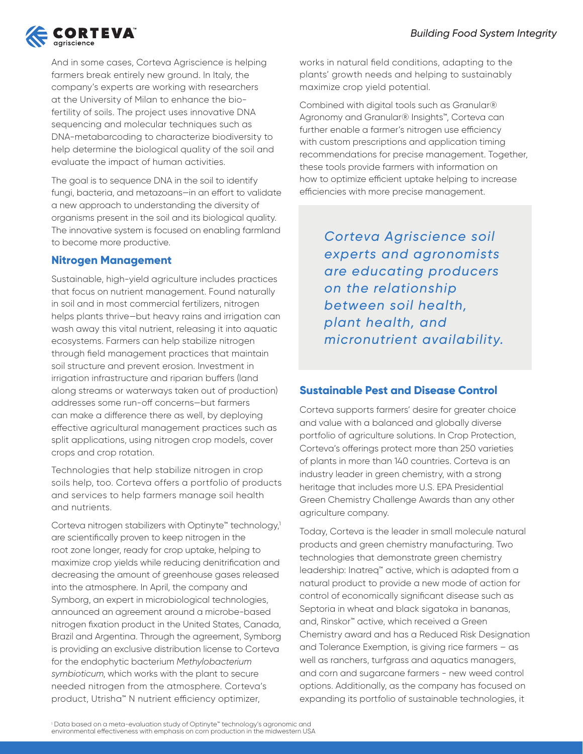

And in some cases, Corteva Agriscience is helping farmers break entirely new ground. In Italy, the company's experts are working with researchers at the University of Milan to enhance the biofertility of soils. The project uses innovative DNA sequencing and molecular techniques such as DNA-metabarcoding to characterize biodiversity to help determine the biological quality of the soil and evaluate the impact of human activities.

The goal is to sequence DNA in the soil to identify fungi, bacteria, and metazoans—in an effort to validate a new approach to understanding the diversity of organisms present in the soil and its biological quality. The innovative system is focused on enabling farmland to become more productive.

#### **Nitrogen Management**

Sustainable, high-yield agriculture includes practices that focus on nutrient management. Found naturally in soil and in most commercial fertilizers, nitrogen helps plants thrive—but heavy rains and irrigation can wash away this vital nutrient, releasing it into aquatic ecosystems. Farmers can help stabilize nitrogen through field management practices that maintain soil structure and prevent erosion. Investment in irrigation infrastructure and riparian buffers (land along streams or waterways taken out of production) addresses some run-off concerns—but farmers can make a difference there as well, by deploying effective agricultural management practices such as split applications, using nitrogen crop models, cover crops and crop rotation.

Technologies that help stabilize nitrogen in crop soils help, too. Corteva offers a portfolio of products and services to help farmers manage soil health and nutrients.

Corteva nitrogen stabilizers with Optinyte™ technology,<sup>1</sup> are scientifically proven to keep nitrogen in the root zone longer, ready for crop uptake, helping to maximize crop yields while reducing denitrification and decreasing the amount of greenhouse gases released into the atmosphere. In April, the company and Symborg, an expert in microbiological technologies, announced an agreement around a microbe-based nitrogen fixation product in the United States, Canada, Brazil and Argentina. Through the agreement, Symborg is providing an exclusive distribution license to Corteva for the endophytic bacterium *Methylobacterium symbioticum*, which works with the plant to secure needed nitrogen from the atmosphere. Corteva's product, Utrisha™ N nutrient efficiency optimizer,

works in natural field conditions, adapting to the plants' growth needs and helping to sustainably maximize crop yield potential.

Combined with digital tools such as Granular® Agronomy and Granular® Insights™, Corteva can further enable a farmer's nitrogen use efficiency with custom prescriptions and application timing recommendations for precise management. Together, these tools provide farmers with information on how to optimize efficient uptake helping to increase efficiencies with more precise management.

> *Corteva Agriscience soil experts and agronomists are educating producers on the relationship between soil health, plant health, and micronutrient availability.*

### **Sustainable Pest and Disease Control**

Corteva supports farmers' desire for greater choice and value with a balanced and globally diverse portfolio of agriculture solutions. In Crop Protection, Corteva's offerings protect more than 250 varieties of plants in more than 140 countries. Corteva is an industry leader in green chemistry, with a strong heritage that includes more U.S. EPA Presidential Green Chemistry Challenge Awards than any other agriculture company.

Today, Corteva is the leader in small molecule natural products and green chemistry manufacturing. Two technologies that demonstrate green chemistry leadership: Inatreq™ active, which is adapted from a natural product to provide a new mode of action for control of economically significant disease such as Septoria in wheat and black sigatoka in bananas, and, Rinskor™ active, which received a Green Chemistry award and has a Reduced Risk Designation and Tolerance Exemption, is giving rice farmers – as well as ranchers, turfgrass and aquatics managers, and corn and sugarcane farmers - new weed control options. Additionally, as the company has focused on expanding its portfolio of sustainable technologies, it